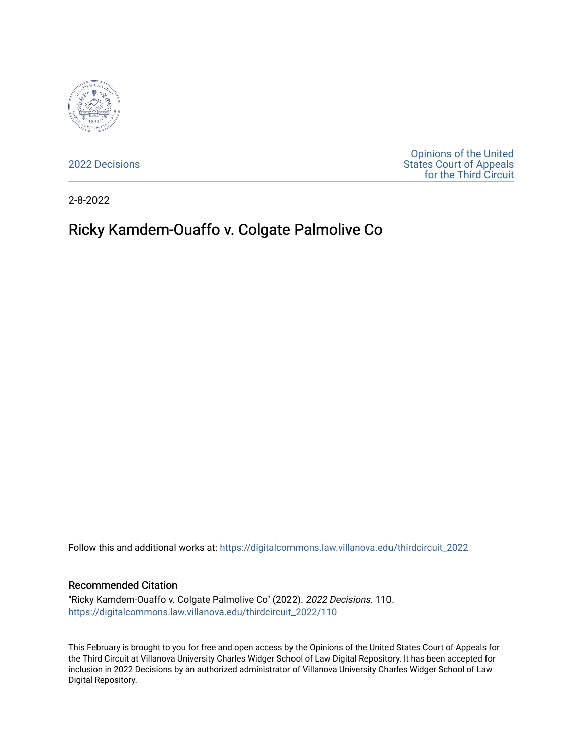

[2022 Decisions](https://digitalcommons.law.villanova.edu/thirdcircuit_2022)

[Opinions of the United](https://digitalcommons.law.villanova.edu/thirdcircuit)  [States Court of Appeals](https://digitalcommons.law.villanova.edu/thirdcircuit)  [for the Third Circuit](https://digitalcommons.law.villanova.edu/thirdcircuit) 

2-8-2022

# Ricky Kamdem-Ouaffo v. Colgate Palmolive Co

Follow this and additional works at: [https://digitalcommons.law.villanova.edu/thirdcircuit\\_2022](https://digitalcommons.law.villanova.edu/thirdcircuit_2022?utm_source=digitalcommons.law.villanova.edu%2Fthirdcircuit_2022%2F110&utm_medium=PDF&utm_campaign=PDFCoverPages) 

#### Recommended Citation

"Ricky Kamdem-Ouaffo v. Colgate Palmolive Co" (2022). 2022 Decisions. 110. [https://digitalcommons.law.villanova.edu/thirdcircuit\\_2022/110](https://digitalcommons.law.villanova.edu/thirdcircuit_2022/110?utm_source=digitalcommons.law.villanova.edu%2Fthirdcircuit_2022%2F110&utm_medium=PDF&utm_campaign=PDFCoverPages)

This February is brought to you for free and open access by the Opinions of the United States Court of Appeals for the Third Circuit at Villanova University Charles Widger School of Law Digital Repository. It has been accepted for inclusion in 2022 Decisions by an authorized administrator of Villanova University Charles Widger School of Law Digital Repository.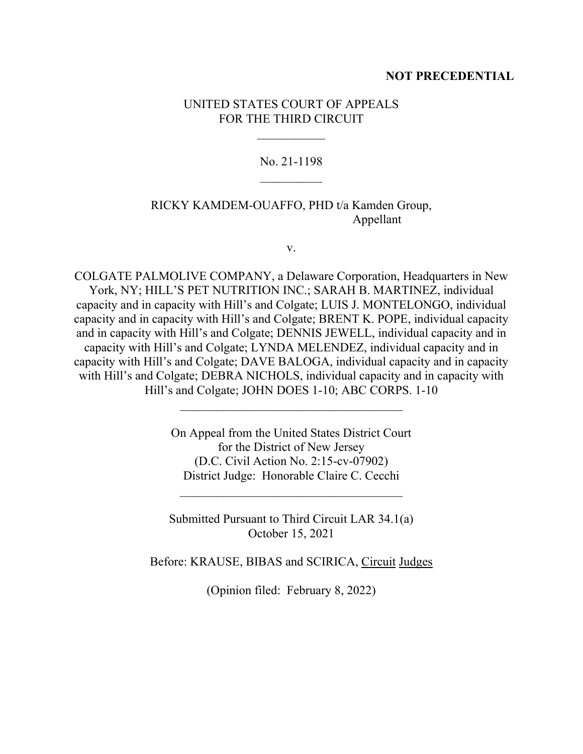### **NOT PRECEDENTIAL**

## UNITED STATES COURT OF APPEALS FOR THE THIRD CIRCUIT

# No. 21-1198  $\mathcal{L}_\text{max}$

# RICKY KAMDEM-OUAFFO, PHD t/a Kamden Group, Appellant

v.

COLGATE PALMOLIVE COMPANY, a Delaware Corporation, Headquarters in New York, NY; HILL'S PET NUTRITION INC.; SARAH B. MARTINEZ, individual capacity and in capacity with Hill's and Colgate; LUIS J. MONTELONGO, individual capacity and in capacity with Hill's and Colgate; BRENT K. POPE, individual capacity and in capacity with Hill's and Colgate; DENNIS JEWELL, individual capacity and in capacity with Hill's and Colgate; LYNDA MELENDEZ, individual capacity and in capacity with Hill's and Colgate; DAVE BALOGA, individual capacity and in capacity with Hill's and Colgate; DEBRA NICHOLS, individual capacity and in capacity with Hill's and Colgate; JOHN DOES 1-10; ABC CORPS. 1-10

> On Appeal from the United States District Court for the District of New Jersey (D.C. Civil Action No. 2:15-cv-07902) District Judge: Honorable Claire C. Cecchi

> Submitted Pursuant to Third Circuit LAR 34.1(a) October 15, 2021

 $\mathcal{L}_\text{max}$  , where  $\mathcal{L}_\text{max}$  and  $\mathcal{L}_\text{max}$  and  $\mathcal{L}_\text{max}$ 

Before: KRAUSE, BIBAS and SCIRICA, Circuit Judges

(Opinion filed: February 8, 2022)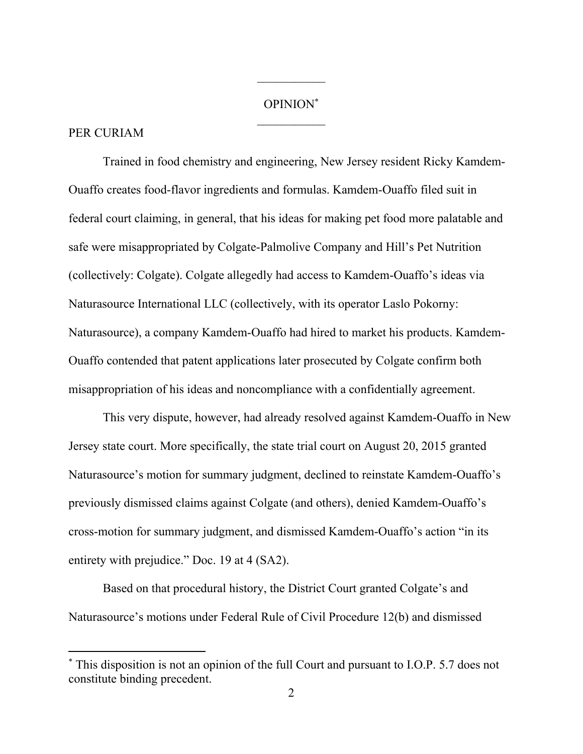### OPINION\*

 $\frac{1}{2}$ 

## PER CURIAM

Trained in food chemistry and engineering, New Jersey resident Ricky Kamdem-Ouaffo creates food-flavor ingredients and formulas. Kamdem-Ouaffo filed suit in federal court claiming, in general, that his ideas for making pet food more palatable and safe were misappropriated by Colgate-Palmolive Company and Hill's Pet Nutrition (collectively: Colgate). Colgate allegedly had access to Kamdem-Ouaffo's ideas via Naturasource International LLC (collectively, with its operator Laslo Pokorny: Naturasource), a company Kamdem-Ouaffo had hired to market his products. Kamdem-Ouaffo contended that patent applications later prosecuted by Colgate confirm both misappropriation of his ideas and noncompliance with a confidentially agreement.

This very dispute, however, had already resolved against Kamdem-Ouaffo in New Jersey state court. More specifically, the state trial court on August 20, 2015 granted Naturasource's motion for summary judgment, declined to reinstate Kamdem-Ouaffo's previously dismissed claims against Colgate (and others), denied Kamdem-Ouaffo's cross-motion for summary judgment, and dismissed Kamdem-Ouaffo's action "in its entirety with prejudice." Doc. 19 at 4 (SA2).

Based on that procedural history, the District Court granted Colgate's and Naturasource's motions under Federal Rule of Civil Procedure 12(b) and dismissed

<sup>\*</sup> This disposition is not an opinion of the full Court and pursuant to I.O.P. 5.7 does not constitute binding precedent.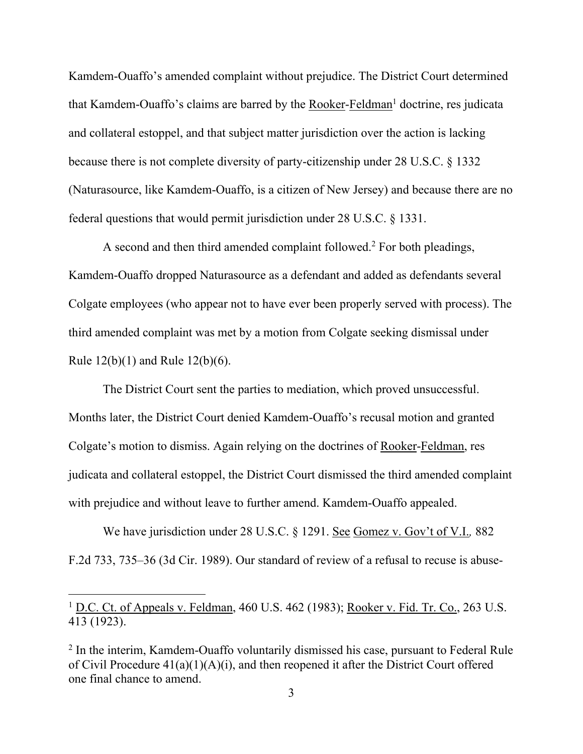Kamdem-Ouaffo's amended complaint without prejudice. The District Court determined that Kamdem-Ouaffo's claims are barred by the Rooker-Feldman<sup>1</sup> doctrine, res judicata and collateral estoppel, and that subject matter jurisdiction over the action is lacking because there is not complete diversity of party-citizenship under 28 U.S.C. § 1332 (Naturasource, like Kamdem-Ouaffo, is a citizen of New Jersey) and because there are no federal questions that would permit jurisdiction under 28 U.S.C. § 1331.

A second and then third amended complaint followed.<sup>2</sup> For both pleadings, Kamdem-Ouaffo dropped Naturasource as a defendant and added as defendants several Colgate employees (who appear not to have ever been properly served with process). The third amended complaint was met by a motion from Colgate seeking dismissal under Rule 12(b)(1) and Rule 12(b)(6).

The District Court sent the parties to mediation, which proved unsuccessful. Months later, the District Court denied Kamdem-Ouaffo's recusal motion and granted Colgate's motion to dismiss. Again relying on the doctrines of Rooker-Feldman, res judicata and collateral estoppel, the District Court dismissed the third amended complaint with prejudice and without leave to further amend. Kamdem-Ouaffo appealed.

We have jurisdiction under 28 U.S.C. § 1291. See Gomez v. Gov't of V.I.*,* 882 F.2d 733, 735–36 (3d Cir. 1989). Our standard of review of a refusal to recuse is abuse-

<sup>&</sup>lt;sup>1</sup> D.C. Ct. of Appeals v. Feldman, 460 U.S. 462 (1983); Rooker v. Fid. Tr. Co., 263 U.S. 413 (1923).

<sup>&</sup>lt;sup>2</sup> In the interim, Kamdem-Ouaffo voluntarily dismissed his case, pursuant to Federal Rule of Civil Procedure 41(a)(1)(A)(i), and then reopened it after the District Court offered one final chance to amend.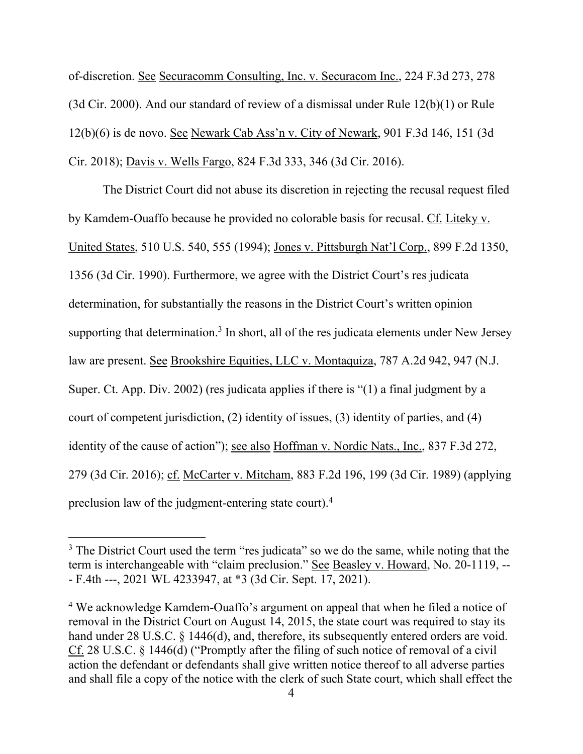of-discretion. See Securacomm Consulting, Inc. v. Securacom Inc., 224 F.3d 273, 278 (3d Cir. 2000). And our standard of review of a dismissal under Rule 12(b)(1) or Rule 12(b)(6) is de novo. See Newark Cab Ass'n v. City of Newark, 901 F.3d 146, 151 (3d Cir. 2018); Davis v. Wells Fargo, 824 F.3d 333, 346 (3d Cir. 2016).

The District Court did not abuse its discretion in rejecting the recusal request filed by Kamdem-Ouaffo because he provided no colorable basis for recusal. Cf. Liteky v. United States, 510 U.S. 540, 555 (1994); Jones v. Pittsburgh Nat'l Corp., 899 F.2d 1350, 1356 (3d Cir. 1990). Furthermore, we agree with the District Court's res judicata determination, for substantially the reasons in the District Court's written opinion supporting that determination.<sup>3</sup> In short, all of the res judicata elements under New Jersey law are present. See Brookshire Equities, LLC v. Montaquiza, 787 A.2d 942, 947 (N.J. Super. Ct. App. Div. 2002) (res judicata applies if there is "(1) a final judgment by a court of competent jurisdiction, (2) identity of issues, (3) identity of parties, and (4) identity of the cause of action"); see also Hoffman v. Nordic Nats., Inc., 837 F.3d 272, 279 (3d Cir. 2016); cf. McCarter v. Mitcham, 883 F.2d 196, 199 (3d Cir. 1989) (applying preclusion law of the judgment-entering state court). 4

<sup>&</sup>lt;sup>3</sup> The District Court used the term "res judicata" so we do the same, while noting that the term is interchangeable with "claim preclusion." See Beasley v. Howard, No. 20-1119, -- - F.4th ---, 2021 WL 4233947, at \*3 (3d Cir. Sept. 17, 2021).

<sup>4</sup> We acknowledge Kamdem-Ouaffo's argument on appeal that when he filed a notice of removal in the District Court on August 14, 2015, the state court was required to stay its hand under 28 U.S.C. § 1446(d), and, therefore, its subsequently entered orders are void. Cf. 28 U.S.C. § 1446(d) ("Promptly after the filing of such notice of removal of a civil action the defendant or defendants shall give written notice thereof to all adverse parties and shall file a copy of the notice with the clerk of such State court, which shall effect the